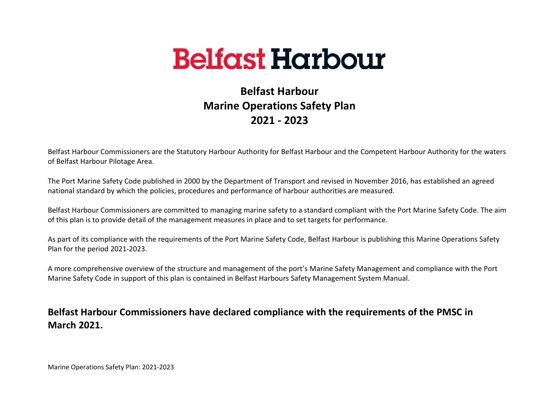

# **Belfast Harbour Marine Operations Safety Plan 2021 - 2023**

Belfast Harbour Commissioners are the Statutory Harbour Authority for Belfast Harbour and the Competent Harbour Authority for the waters of Belfast Harbour Pilotage Area.

The Port Marine Safety Code published in 2000 by the Department of Transport and revised in November 2016, has established an agreed national standard by which the policies, procedures and performance of harbour authorities are measured.

Belfast Harbour Commissioners are committed to managing marine safety to a standard compliant with the Port Marine Safety Code. The aim of this plan is to provide detail of the management measures in place and to set targets for performance.

As part of its compliance with the requirements of the Port Marine Safety Code, Belfast Harbour is publishing this Marine Operations Safety Plan for the period 2021-2023.

A more comprehensive overview of the structure and management of the port's Marine Safety Management and compliance with the Port Marine Safety Code in support of this plan is contained in Belfast Harbours Safety Management System Manual.

## **Belfast Harbour Commissioners have declared compliance with the requirements of the PMSC in March 2021.**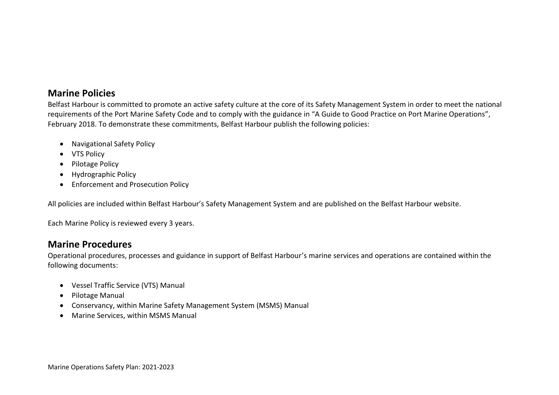#### **Marine Policies**

Belfast Harbour is committed to promote an active safety culture at the core of its Safety Management System in order to meet the national requirements of the Port Marine Safety Code and to comply with the guidance in "A Guide to Good Practice on Port Marine Operations", February 2018. To demonstrate these commitments, Belfast Harbour publish the following policies:

- Navigational Safety Policy
- VTS Policy
- Pilotage Policy
- Hydrographic Policy
- Enforcement and Prosecution Policy

All policies are included within Belfast Harbour's Safety Management System and are published on the Belfast Harbour website.

Each Marine Policy is reviewed every 3 years.

#### **Marine Procedures**

Operational procedures, processes and guidance in support of Belfast Harbour's marine services and operations are contained within the following documents:

- Vessel Traffic Service (VTS) Manual
- Pilotage Manual
- Conservancy, within Marine Safety Management System (MSMS) Manual
- Marine Services, within MSMS Manual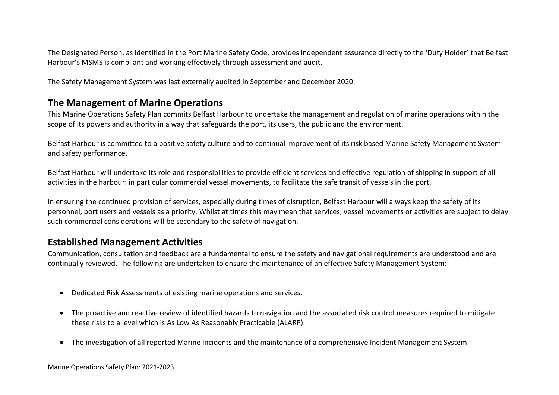The Designated Person, as identified in the Port Marine Safety Code, provides independent assurance directly to the 'Duty Holder' that Belfast Harbour's MSMS is compliant and working effectively through assessment and audit.

The Safety Management System was last externally audited in September and December 2020.

### **The Management of Marine Operations**

This Marine Operations Safety Plan commits Belfast Harbour to undertake the management and regulation of marine operations within the scope of its powers and authority in a way that safeguards the port, its users, the public and the environment.

Belfast Harbour is committed to a positive safety culture and to continual improvement of its risk based Marine Safety Management System and safety performance.

Belfast Harbour will undertake its role and responsibilities to provide efficient services and effective regulation of shipping in support of all activities in the harbour: in particular commercial vessel movements, to facilitate the safe transit of vessels in the port.

In ensuring the continued provision of services, especially during times of disruption, Belfast Harbour will always keep the safety of its personnel, port users and vessels as a priority. Whilst at times this may mean that services, vessel movements or activities are subject to delay such commercial considerations will be secondary to the safety of navigation.

### **Established Management Activities**

Communication, consultation and feedback are a fundamental to ensure the safety and navigational requirements are understood and are continually reviewed. The following are undertaken to ensure the maintenance of an effective Safety Management System:

- Dedicated Risk Assessments of existing marine operations and services.
- The proactive and reactive review of identified hazards to navigation and the associated risk control measures required to mitigate these risks to a level which is As Low As Reasonably Practicable (ALARP).
- The investigation of all reported Marine Incidents and the maintenance of a comprehensive Incident Management System.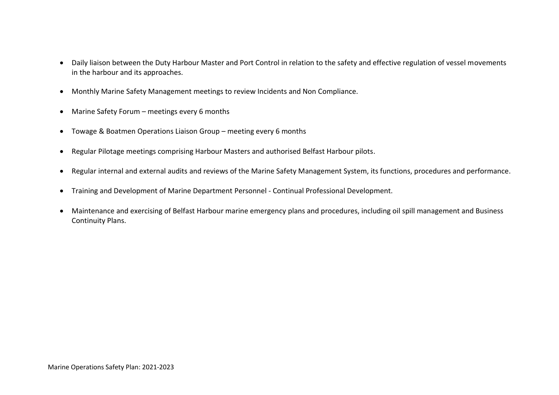- Daily liaison between the Duty Harbour Master and Port Control in relation to the safety and effective regulation of vessel movements in the harbour and its approaches.
- Monthly Marine Safety Management meetings to review Incidents and Non Compliance.
- Marine Safety Forum meetings every 6 months
- Towage & Boatmen Operations Liaison Group meeting every 6 months
- Regular Pilotage meetings comprising Harbour Masters and authorised Belfast Harbour pilots.
- Regular internal and external audits and reviews of the Marine Safety Management System, its functions, procedures and performance.
- Training and Development of Marine Department Personnel Continual Professional Development.
- Maintenance and exercising of Belfast Harbour marine emergency plans and procedures, including oil spill management and Business Continuity Plans.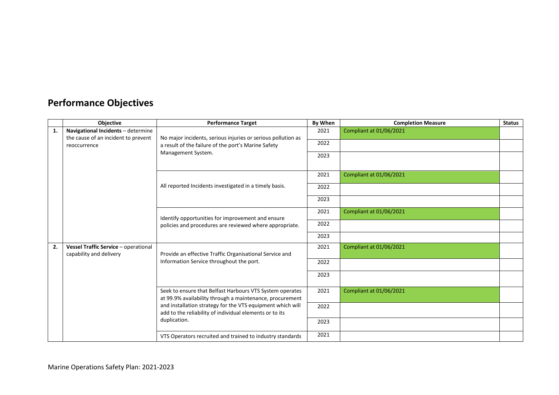# **Performance Objectives**

|    | <b>Objective</b>                                                | <b>Performance Target</b>                                                                                                                                                                                                                                     | By When | <b>Completion Measure</b> | <b>Status</b> |
|----|-----------------------------------------------------------------|---------------------------------------------------------------------------------------------------------------------------------------------------------------------------------------------------------------------------------------------------------------|---------|---------------------------|---------------|
| 1. | Navigational Incidents - determine                              | No major incidents, serious injuries or serious pollution as<br>a result of the failure of the port's Marine Safety<br>Management System.                                                                                                                     | 2021    | Compliant at 01/06/2021   |               |
|    | the cause of an incident to prevent                             |                                                                                                                                                                                                                                                               | 2022    |                           |               |
|    | reoccurrence                                                    |                                                                                                                                                                                                                                                               |         |                           |               |
|    |                                                                 |                                                                                                                                                                                                                                                               | 2023    |                           |               |
|    |                                                                 |                                                                                                                                                                                                                                                               |         |                           |               |
|    |                                                                 | All reported Incidents investigated in a timely basis.                                                                                                                                                                                                        | 2021    | Compliant at 01/06/2021   |               |
|    |                                                                 |                                                                                                                                                                                                                                                               | 2022    |                           |               |
|    |                                                                 |                                                                                                                                                                                                                                                               | 2023    |                           |               |
|    |                                                                 | Identify opportunities for improvement and ensure<br>policies and procedures are reviewed where appropriate.                                                                                                                                                  | 2021    | Compliant at 01/06/2021   |               |
|    |                                                                 |                                                                                                                                                                                                                                                               | 2022    |                           |               |
|    |                                                                 |                                                                                                                                                                                                                                                               | 2023    |                           |               |
| 2. | Vessel Traffic Service - operational<br>capability and delivery | Provide an effective Traffic Organisational Service and                                                                                                                                                                                                       | 2021    | Compliant at 01/06/2021   |               |
|    |                                                                 | Information Service throughout the port.                                                                                                                                                                                                                      | 2022    |                           |               |
|    |                                                                 |                                                                                                                                                                                                                                                               |         |                           |               |
|    |                                                                 |                                                                                                                                                                                                                                                               | 2023    |                           |               |
|    |                                                                 | Seek to ensure that Belfast Harbours VTS System operates<br>at 99.9% availability through a maintenance, procurement<br>and installation strategy for the VTS equipment which will<br>add to the reliability of individual elements or to its<br>duplication. | 2021    | Compliant at 01/06/2021   |               |
|    |                                                                 |                                                                                                                                                                                                                                                               |         |                           |               |
|    |                                                                 |                                                                                                                                                                                                                                                               | 2022    |                           |               |
|    |                                                                 |                                                                                                                                                                                                                                                               | 2023    |                           |               |
|    |                                                                 | VTS Operators recruited and trained to industry standards                                                                                                                                                                                                     | 2021    |                           |               |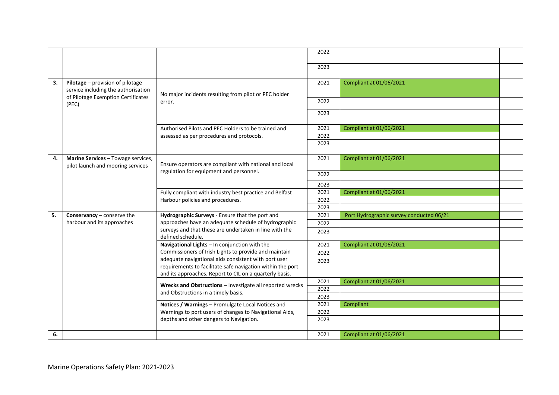|    |                                                                                                                        |                                                                                                                                                                                                                                                                                         | 2022         |                                          |  |
|----|------------------------------------------------------------------------------------------------------------------------|-----------------------------------------------------------------------------------------------------------------------------------------------------------------------------------------------------------------------------------------------------------------------------------------|--------------|------------------------------------------|--|
|    |                                                                                                                        |                                                                                                                                                                                                                                                                                         | 2023         |                                          |  |
| 3. | Pilotage - provision of pilotage<br>service including the authorisation<br>of Pilotage Exemption Certificates<br>(PEC) | No major incidents resulting from pilot or PEC holder<br>error.                                                                                                                                                                                                                         | 2021         | Compliant at 01/06/2021                  |  |
|    |                                                                                                                        |                                                                                                                                                                                                                                                                                         | 2022         |                                          |  |
|    |                                                                                                                        |                                                                                                                                                                                                                                                                                         | 2023         |                                          |  |
|    |                                                                                                                        | Authorised Pilots and PEC Holders to be trained and<br>assessed as per procedures and protocols.                                                                                                                                                                                        | 2021         | <b>Compliant at 01/06/2021</b>           |  |
|    |                                                                                                                        |                                                                                                                                                                                                                                                                                         | 2022         |                                          |  |
|    |                                                                                                                        |                                                                                                                                                                                                                                                                                         | 2023         |                                          |  |
| 4. | Marine Services - Towage services,<br>pilot launch and mooring services                                                | Ensure operators are compliant with national and local<br>regulation for equipment and personnel.                                                                                                                                                                                       | 2021         | Compliant at 01/06/2021                  |  |
|    |                                                                                                                        |                                                                                                                                                                                                                                                                                         | 2022         |                                          |  |
|    |                                                                                                                        |                                                                                                                                                                                                                                                                                         | 2023         |                                          |  |
|    |                                                                                                                        | Fully compliant with industry best practice and Belfast<br>Harbour policies and procedures.                                                                                                                                                                                             | 2021         | <b>Compliant at 01/06/2021</b>           |  |
|    |                                                                                                                        |                                                                                                                                                                                                                                                                                         | 2022         |                                          |  |
|    |                                                                                                                        |                                                                                                                                                                                                                                                                                         | 2023         |                                          |  |
| 5. | Conservancy - conserve the<br>harbour and its approaches                                                               | Hydrographic Surveys - Ensure that the port and<br>approaches have an adequate schedule of hydrographic<br>surveys and that these are undertaken in line with the<br>defined schedule.                                                                                                  | 2021         | Port Hydrographic survey conducted 06/21 |  |
|    |                                                                                                                        |                                                                                                                                                                                                                                                                                         | 2022         |                                          |  |
|    |                                                                                                                        |                                                                                                                                                                                                                                                                                         | 2023         |                                          |  |
|    |                                                                                                                        | Navigational Lights - In conjunction with the<br>Commissioners of Irish Lights to provide and maintain<br>adequate navigational aids consistent with port user<br>requirements to facilitate safe navigation within the port<br>and its approaches. Report to CIL on a quarterly basis. | 2021         | Compliant at 01/06/2021                  |  |
|    |                                                                                                                        |                                                                                                                                                                                                                                                                                         | 2022         |                                          |  |
|    |                                                                                                                        |                                                                                                                                                                                                                                                                                         | 2023         |                                          |  |
|    |                                                                                                                        |                                                                                                                                                                                                                                                                                         |              |                                          |  |
|    |                                                                                                                        | Wrecks and Obstructions - Investigate all reported wrecks<br>and Obstructions in a timely basis.<br>Notices / Warnings - Promulgate Local Notices and<br>Warnings to port users of changes to Navigational Aids,<br>depths and other dangers to Navigation.                             | 2021<br>2022 | <b>Compliant at 01/06/2021</b>           |  |
|    |                                                                                                                        |                                                                                                                                                                                                                                                                                         | 2023         |                                          |  |
|    |                                                                                                                        |                                                                                                                                                                                                                                                                                         | 2021         | Compliant                                |  |
|    |                                                                                                                        |                                                                                                                                                                                                                                                                                         | 2022         |                                          |  |
|    |                                                                                                                        |                                                                                                                                                                                                                                                                                         | 2023         |                                          |  |
| 6. |                                                                                                                        |                                                                                                                                                                                                                                                                                         | 2021         | Compliant at 01/06/2021                  |  |